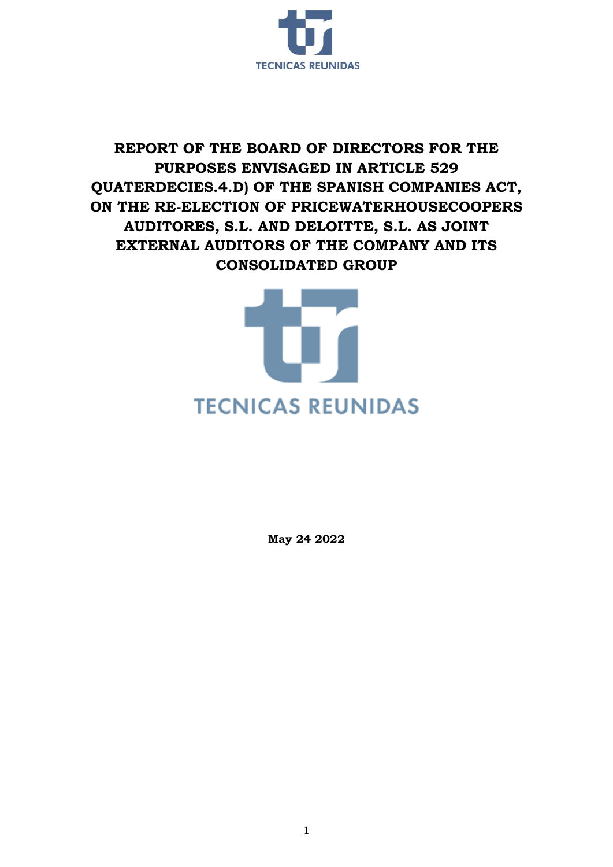

## **REPORT OF THE BOARD OF DIRECTORS FOR THE PURPOSES ENVISAGED IN ARTICLE 529 QUATERDECIES.4.D) OF THE SPANISH COMPANIES ACT, ON THE RE-ELECTION OF PRICEWATERHOUSECOOPERS AUDITORES, S.L. AND DELOITTE, S.L. AS JOINT EXTERNAL AUDITORS OF THE COMPANY AND ITS CONSOLIDATED GROUP**



**May 24 2022**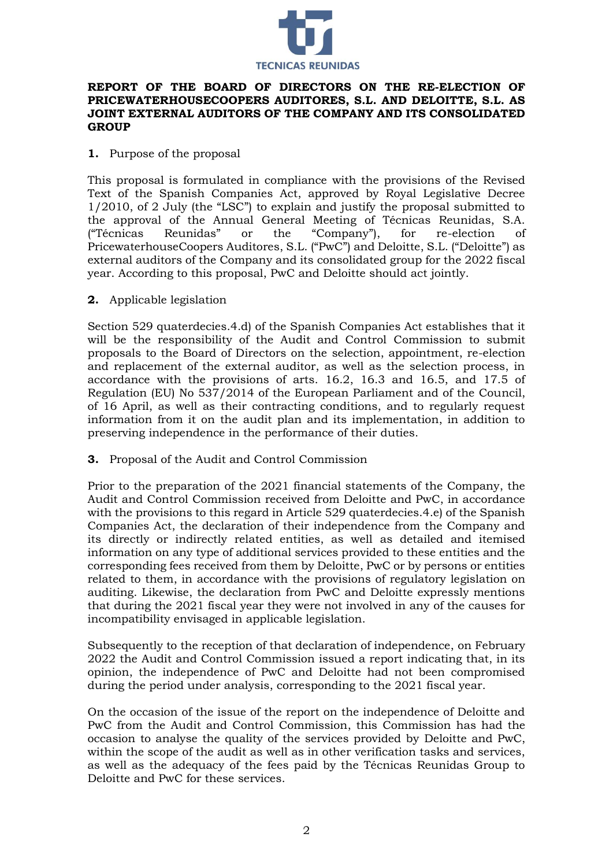

## **REPORT OF THE BOARD OF DIRECTORS ON THE RE-ELECTION OF PRICEWATERHOUSECOOPERS AUDITORES, S.L. AND DELOITTE, S.L. AS JOINT EXTERNAL AUDITORS OF THE COMPANY AND ITS CONSOLIDATED GROUP**

## **1.** Purpose of the proposal

This proposal is formulated in compliance with the provisions of the Revised Text of the Spanish Companies Act, approved by Royal Legislative Decree 1/2010, of 2 July (the "LSC") to explain and justify the proposal submitted to the approval of the Annual General Meeting of Técnicas Reunidas, S.A. ("Técnicas Reunidas" or the "Company"), for re-election of PricewaterhouseCoopers Auditores, S.L. ("PwC") and Deloitte, S.L. ("Deloitte") as external auditors of the Company and its consolidated group for the 2022 fiscal year. According to this proposal, PwC and Deloitte should act jointly.

**2.** Applicable legislation

Section 529 quaterdecies.4.d) of the Spanish Companies Act establishes that it will be the responsibility of the Audit and Control Commission to submit proposals to the Board of Directors on the selection, appointment, re-election and replacement of the external auditor, as well as the selection process, in accordance with the provisions of arts. 16.2, 16.3 and 16.5, and 17.5 of Regulation (EU) No 537/2014 of the European Parliament and of the Council, of 16 April, as well as their contracting conditions, and to regularly request information from it on the audit plan and its implementation, in addition to preserving independence in the performance of their duties.

**3.** Proposal of the Audit and Control Commission

Prior to the preparation of the 2021 financial statements of the Company, the Audit and Control Commission received from Deloitte and PwC, in accordance with the provisions to this regard in Article 529 quaterdecies.4.e) of the Spanish Companies Act, the declaration of their independence from the Company and its directly or indirectly related entities, as well as detailed and itemised information on any type of additional services provided to these entities and the corresponding fees received from them by Deloitte, PwC or by persons or entities related to them, in accordance with the provisions of regulatory legislation on auditing. Likewise, the declaration from PwC and Deloitte expressly mentions that during the 2021 fiscal year they were not involved in any of the causes for incompatibility envisaged in applicable legislation.

Subsequently to the reception of that declaration of independence, on February 2022 the Audit and Control Commission issued a report indicating that, in its opinion, the independence of PwC and Deloitte had not been compromised during the period under analysis, corresponding to the 2021 fiscal year.

On the occasion of the issue of the report on the independence of Deloitte and PwC from the Audit and Control Commission, this Commission has had the occasion to analyse the quality of the services provided by Deloitte and PwC, within the scope of the audit as well as in other verification tasks and services, as well as the adequacy of the fees paid by the Técnicas Reunidas Group to Deloitte and PwC for these services.